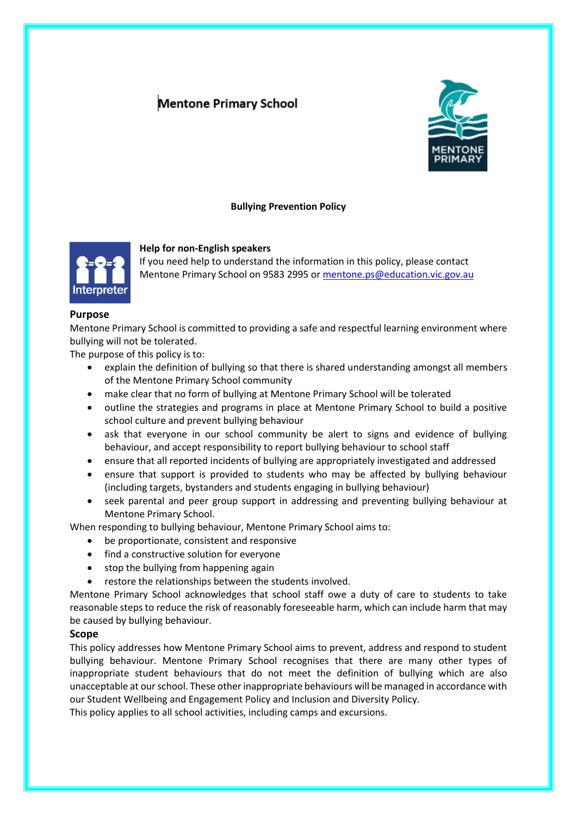# **Mentone Primary School**



# **Bullying Prevention Policy**



#### **Help for non-English speakers**

If you need help to understand the information in this policy, please contact Mentone Primary School on 9583 2995 or [mentone.ps@education.vic.gov.au](mailto:mentone.ps@education.vic.gov.au)

## **Purpose**

Mentone Primary School is committed to providing a safe and respectful learning environment where bullying will not be tolerated.

The purpose of this policy is to:

- explain the definition of bullying so that there is shared understanding amongst all members of the Mentone Primary School community
- make clear that no form of bullying at Mentone Primary School will be tolerated
- outline the strategies and programs in place at Mentone Primary School to build a positive school culture and prevent bullying behaviour
- ask that everyone in our school community be alert to signs and evidence of bullying behaviour, and accept responsibility to report bullying behaviour to school staff
- ensure that all reported incidents of bullying are appropriately investigated and addressed
- ensure that support is provided to students who may be affected by bullying behaviour (including targets, bystanders and students engaging in bullying behaviour)
- seek parental and peer group support in addressing and preventing bullying behaviour at Mentone Primary School.

When responding to bullying behaviour, Mentone Primary School aims to:

- be proportionate, consistent and responsive
- find a constructive solution for everyone
- stop the bullying from happening again
- restore the relationships between the students involved.

Mentone Primary School acknowledges that school staff owe a duty of care to students to take reasonable steps to reduce the risk of reasonably foreseeable harm, which can include harm that may be caused by bullying behaviour.

# **Scope**

This policy addresses how Mentone Primary School aims to prevent, address and respond to student bullying behaviour. Mentone Primary School recognises that there are many other types of inappropriate student behaviours that do not meet the definition of bullying which are also unacceptable at our school. These other inappropriate behaviours will be managed in accordance with our Student Wellbeing and Engagement Policy and Inclusion and Diversity Policy.

This policy applies to all school activities, including camps and excursions.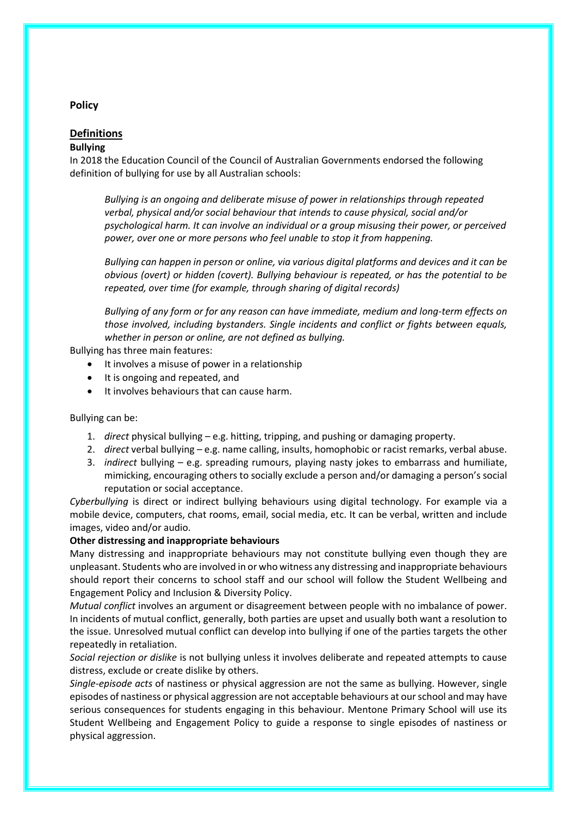# **Policy**

# **Definitions**

## **Bullying**

In 2018 the Education Council of the Council of Australian Governments endorsed the following definition of bullying for use by all Australian schools:

*Bullying is an ongoing and deliberate misuse of power in relationships through repeated verbal, physical and/or social behaviour that intends to cause physical, social and/or psychological harm. It can involve an individual or a group misusing their power, or perceived power, over one or more persons who feel unable to stop it from happening.*

*Bullying can happen in person or online, via various digital platforms and devices and it can be obvious (overt) or hidden (covert). Bullying behaviour is repeated, or has the potential to be repeated, over time (for example, through sharing of digital records)*

*Bullying of any form or for any reason can have immediate, medium and long-term effects on those involved, including bystanders. Single incidents and conflict or fights between equals, whether in person or online, are not defined as bullying.* 

Bullying has three main features:

- It involves a misuse of power in a relationship
- It is ongoing and repeated, and
- It involves behaviours that can cause harm.

#### Bullying can be:

- 1. *direct* physical bullying e.g. hitting, tripping, and pushing or damaging property.
- 2. *direct* verbal bullying e.g. name calling, insults, homophobic or racist remarks, verbal abuse.
- 3. *indirect* bullying e.g. spreading rumours, playing nasty jokes to embarrass and humiliate, mimicking, encouraging others to socially exclude a person and/or damaging a person's social reputation or social acceptance.

*Cyberbullying* is direct or indirect bullying behaviours using digital technology. For example via a mobile device, computers, chat rooms, email, social media, etc. It can be verbal, written and include images, video and/or audio.

## **Other distressing and inappropriate behaviours**

Many distressing and inappropriate behaviours may not constitute bullying even though they are unpleasant. Students who are involved in or who witness any distressing and inappropriate behaviours should report their concerns to school staff and our school will follow the Student Wellbeing and Engagement Policy and Inclusion & Diversity Policy.

*Mutual conflict* involves an argument or disagreement between people with no imbalance of power. In incidents of mutual conflict, generally, both parties are upset and usually both want a resolution to the issue. Unresolved mutual conflict can develop into bullying if one of the parties targets the other repeatedly in retaliation.

*Social rejection or dislike* is not bullying unless it involves deliberate and repeated attempts to cause distress, exclude or create dislike by others.

*Single-episode acts* of nastiness or physical aggression are not the same as bullying. However, single episodes of nastiness or physical aggression are not acceptable behaviours at our school and may have serious consequences for students engaging in this behaviour. Mentone Primary School will use its Student Wellbeing and Engagement Policy to guide a response to single episodes of nastiness or physical aggression.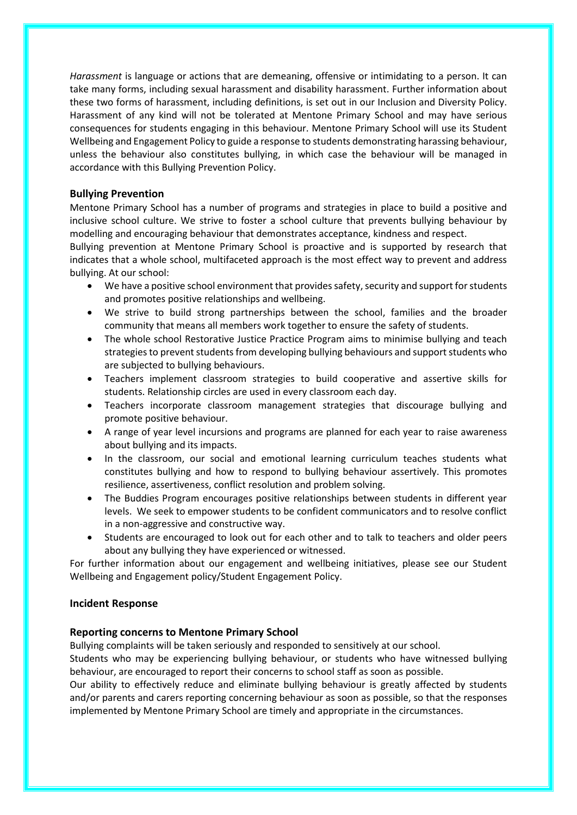*Harassment* is language or actions that are demeaning, offensive or intimidating to a person. It can take many forms, including sexual harassment and disability harassment. Further information about these two forms of harassment, including definitions, is set out in our Inclusion and Diversity Policy. Harassment of any kind will not be tolerated at Mentone Primary School and may have serious consequences for students engaging in this behaviour. Mentone Primary School will use its Student Wellbeing and Engagement Policy to guide a response to students demonstrating harassing behaviour, unless the behaviour also constitutes bullying, in which case the behaviour will be managed in accordance with this Bullying Prevention Policy.

# **Bullying Prevention**

Mentone Primary School has a number of programs and strategies in place to build a positive and inclusive school culture. We strive to foster a school culture that prevents bullying behaviour by modelling and encouraging behaviour that demonstrates acceptance, kindness and respect.

Bullying prevention at Mentone Primary School is proactive and is supported by research that indicates that a whole school, multifaceted approach is the most effect way to prevent and address bullying. At our school:

- We have a positive school environment that provides safety, security and support for students and promotes positive relationships and wellbeing.
- We strive to build strong partnerships between the school, families and the broader community that means all members work together to ensure the safety of students.
- The whole school Restorative Justice Practice Program aims to minimise bullying and teach strategies to prevent students from developing bullying behaviours and support students who are subjected to bullying behaviours.
- Teachers implement classroom strategies to build cooperative and assertive skills for students. Relationship circles are used in every classroom each day.
- Teachers incorporate classroom management strategies that discourage bullying and promote positive behaviour.
- A range of year level incursions and programs are planned for each year to raise awareness about bullying and its impacts.
- In the classroom, our social and emotional learning curriculum teaches students what constitutes bullying and how to respond to bullying behaviour assertively. This promotes resilience, assertiveness, conflict resolution and problem solving.
- The Buddies Program encourages positive relationships between students in different year levels. We seek to empower students to be confident communicators and to resolve conflict in a non-aggressive and constructive way.
- Students are encouraged to look out for each other and to talk to teachers and older peers about any bullying they have experienced or witnessed.

For further information about our engagement and wellbeing initiatives, please see our Student Wellbeing and Engagement policy/Student Engagement Policy.

# **Incident Response**

# **Reporting concerns to Mentone Primary School**

Bullying complaints will be taken seriously and responded to sensitively at our school.

Students who may be experiencing bullying behaviour, or students who have witnessed bullying behaviour, are encouraged to report their concerns to school staff as soon as possible.

Our ability to effectively reduce and eliminate bullying behaviour is greatly affected by students and/or parents and carers reporting concerning behaviour as soon as possible, so that the responses implemented by Mentone Primary School are timely and appropriate in the circumstances.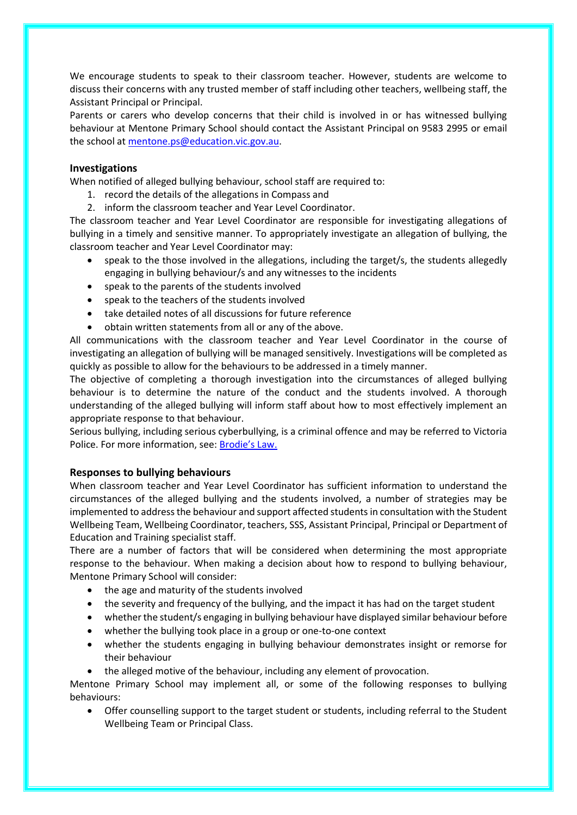We encourage students to speak to their classroom teacher. However, students are welcome to discuss their concerns with any trusted member of staff including other teachers, wellbeing staff, the Assistant Principal or Principal.

Parents or carers who develop concerns that their child is involved in or has witnessed bullying behaviour at Mentone Primary School should contact the Assistant Principal on 9583 2995 or email the school at [mentone.ps@education.vic.gov.au.](mailto:mentone.ps@education.vic.gov.au)

# **Investigations**

When notified of alleged bullying behaviour, school staff are required to:

- 1. record the details of the allegations in Compass and
- 2. inform the classroom teacher and Year Level Coordinator.

The classroom teacher and Year Level Coordinator are responsible for investigating allegations of bullying in a timely and sensitive manner. To appropriately investigate an allegation of bullying, the classroom teacher and Year Level Coordinator may:

- speak to the those involved in the allegations, including the target/s, the students allegedly engaging in bullying behaviour/s and any witnesses to the incidents
- speak to the parents of the students involved
- speak to the teachers of the students involved
- take detailed notes of all discussions for future reference
- obtain written statements from all or any of the above.

All communications with the classroom teacher and Year Level Coordinator in the course of investigating an allegation of bullying will be managed sensitively. Investigations will be completed as quickly as possible to allow for the behaviours to be addressed in a timely manner.

The objective of completing a thorough investigation into the circumstances of alleged bullying behaviour is to determine the nature of the conduct and the students involved. A thorough understanding of the alleged bullying will inform staff about how to most effectively implement an appropriate response to that behaviour.

Serious bullying, including serious cyberbullying, is a criminal offence and may be referred to Victoria Police. For more information, see: [Brodie's Law.](http://www.education.vic.gov.au/about/programs/bullystoppers/Pages/advicesheetbrodieslaw.aspx)

# **Responses to bullying behaviours**

When classroom teacher and Year Level Coordinator has sufficient information to understand the circumstances of the alleged bullying and the students involved, a number of strategies may be implemented to address the behaviour and support affected students in consultation with the Student Wellbeing Team, Wellbeing Coordinator, teachers, SSS, Assistant Principal, Principal or Department of Education and Training specialist staff.

There are a number of factors that will be considered when determining the most appropriate response to the behaviour. When making a decision about how to respond to bullying behaviour, Mentone Primary School will consider:

- the age and maturity of the students involved
- the severity and frequency of the bullying, and the impact it has had on the target student
- whether the student/s engaging in bullying behaviour have displayed similar behaviour before
- whether the bullying took place in a group or one-to-one context
- whether the students engaging in bullying behaviour demonstrates insight or remorse for their behaviour
- the alleged motive of the behaviour, including any element of provocation.

Mentone Primary School may implement all, or some of the following responses to bullying behaviours:

• Offer counselling support to the target student or students, including referral to the Student Wellbeing Team or Principal Class.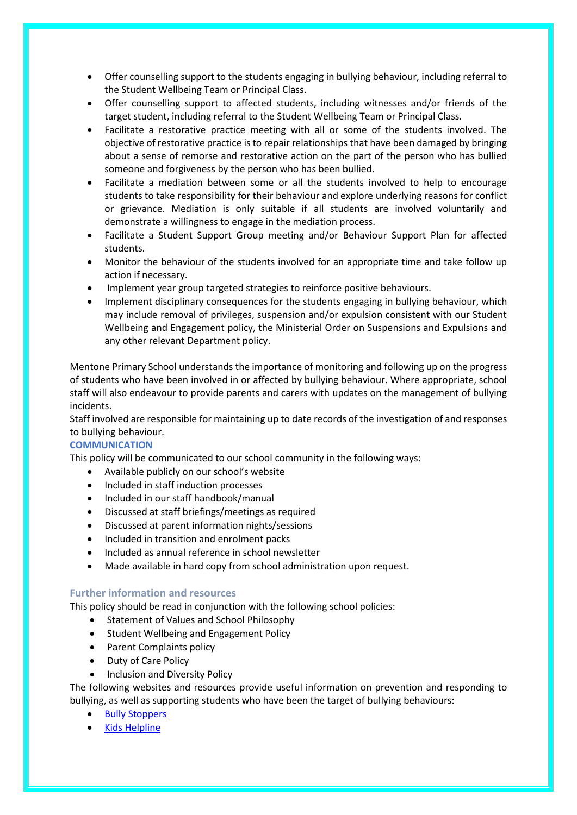- Offer counselling support to the students engaging in bullying behaviour, including referral to the Student Wellbeing Team or Principal Class.
- Offer counselling support to affected students, including witnesses and/or friends of the target student, including referral to the Student Wellbeing Team or Principal Class.
- Facilitate a restorative practice meeting with all or some of the students involved. The objective of restorative practice is to repair relationships that have been damaged by bringing about a sense of remorse and restorative action on the part of the person who has bullied someone and forgiveness by the person who has been bullied.
- Facilitate a mediation between some or all the students involved to help to encourage students to take responsibility for their behaviour and explore underlying reasons for conflict or grievance. Mediation is only suitable if all students are involved voluntarily and demonstrate a willingness to engage in the mediation process.
- Facilitate a Student Support Group meeting and/or Behaviour Support Plan for affected students.
- Monitor the behaviour of the students involved for an appropriate time and take follow up action if necessary.
- Implement year group targeted strategies to reinforce positive behaviours.
- Implement disciplinary consequences for the students engaging in bullying behaviour, which may include removal of privileges, suspension and/or expulsion consistent with our Student Wellbeing and Engagement policy, the Ministerial Order on Suspensions and Expulsions and any other relevant Department policy.

Mentone Primary School understands the importance of monitoring and following up on the progress of students who have been involved in or affected by bullying behaviour. Where appropriate, school staff will also endeavour to provide parents and carers with updates on the management of bullying incidents.

Staff involved are responsible for maintaining up to date records of the investigation of and responses to bullying behaviour.

# **COMMUNICATION**

This policy will be communicated to our school community in the following ways:

- Available publicly on our school's website
- Included in staff induction processes
- Included in our staff handbook/manual
- Discussed at staff briefings/meetings as required
- Discussed at parent information nights/sessions
- Included in transition and enrolment packs
- Included as annual reference in school newsletter
- Made available in hard copy from school administration upon request.

#### **Further information and resources**

This policy should be read in conjunction with the following school policies:

- Statement of Values and School Philosophy
- Student Wellbeing and Engagement Policy
- Parent Complaints policy
- Duty of Care Policy
- Inclusion and Diversity Policy

The following websites and resources provide useful information on prevention and responding to bullying, as well as supporting students who have been the target of bullying behaviours:

- [Bully Stoppers](https://www.education.vic.gov.au/about/programs/bullystoppers/Pages/default.aspx)
- [Kids Helpline](https://kidshelpline.com.au/)